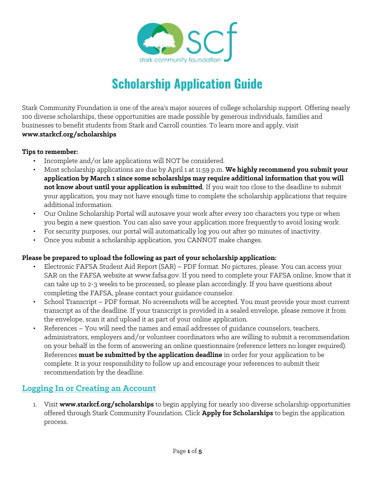

# **Scholarship Application Guide**

Stark Community Foundation is one of the area's major sources of college scholarship support. Offering nearly 100 diverse scholarships, these opportunities are made possible by generous individuals, families and businesses to benefit students from Stark and Carroll counties. To learn more and apply, visit **www.starkcf.org/scholarships**

#### **Tips to remember:**

- Incomplete and/or late applications will NOT be considered.
- Most scholarship applications are due by April 1 at 11:59 p.m. **We highly recommend you submit your application by March 1 since some scholarships may require additional information that you will not know about until your application is submitted**. If you wait too close to the deadline to submit your application, you may not have enough time to complete the scholarship applications that require additional information.
- Our Online Scholarship Portal will autosave your work after every 100 characters you type or when you begin a new question. You can also save your application more frequently to avoid losing work.
- For security purposes, our portal will automatically log you out after 90 minutes of inactivity.
- Once you submit a scholarship application, you CANNOT make changes.

### **Please be prepared to upload the following as part of your scholarship application:**

- Electronic FAFSA Student Aid Report (SAR) PDF format. No pictures, please. You can access your SAR on the FAFSA website at www.fafsa.gov. If you need to complete your FAFSA online, know that it can take up to 2-3 weeks to be processed, so please plan accordingly. If you have questions about completing the FAFSA, please contact your guidance counselor.
- School Transcript PDF format. No screenshots will be accepted. You must provide your most current transcript as of the deadline. If your transcript is provided in a sealed envelope, please remove it from the envelope, scan it and upload it as part of your online application.
- References You will need the names and email addresses of guidance counselors, teachers, administrators, employers and/or volunteer coordinators who are willing to submit a recommendation on your behalf in the form of answering an online questionnaire (reference letters no longer required). References **must be submitted by the application deadline** in order for your application to be complete. It is your responsibility to follow up and encourage your references to submit their recommendation by the deadline.

## **Logging In or Creating an Account**

1. Visit **www.starkcf.org/scholarships** to begin applying for nearly 100 diverse scholarship opportunities offered through Stark Community Foundation. Click **Apply for Scholarships** to begin the application process.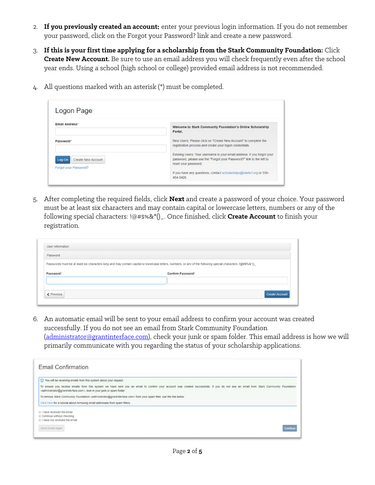- 2. **If you previously created an account:** enter your previous login information. If you do not remember your password, click on the Forgot your Password? link and create a new password.
- 3. **If this is your first time applying for a scholarship from the Stark Community Foundation:** Click **Create New Account.** Be sure to use an email address you will check frequently even after the school year ends. Using a school (high school or college) provided email address is not recommended.
- 4. All questions marked with an asterisk (\*) must be completed.

| Logon Page                                                   |                                                                                                                                                                         |  |  |  |
|--------------------------------------------------------------|-------------------------------------------------------------------------------------------------------------------------------------------------------------------------|--|--|--|
| <b>Email Address*</b>                                        | Welcome to Stark Community Foundation's Online Scholarship<br>Portal.                                                                                                   |  |  |  |
| Password*                                                    | New Users: Please click on "Create New Account" to complete the<br>registration process and create your logon credentials.                                              |  |  |  |
| <b>Create New Account</b><br>Log On<br>Forgot your Password? | Existing Users: Your username is your email address. If you forgot your<br>password, please use the "Forgot your Password?" link to the left to<br>reset your password. |  |  |  |
|                                                              | If you have any questions, contact scholarships@starkcf.org or 330-<br>454-3426.                                                                                        |  |  |  |

5. After completing the required fields, click **Next** and create a password of your choice. Your password must be at least six characters and may contain capital or lowercase letters, numbers or any of the following special characters: !@#\$%&\*()\_. Once finished, click **Create Account** to finish your registration.

| <b>User Information</b> |                                                                                                                                                              |
|-------------------------|--------------------------------------------------------------------------------------------------------------------------------------------------------------|
| Password                |                                                                                                                                                              |
|                         | Passwords must be at least six characters long and may contain capital or lowercase letters, numbers, or any of the following special characters: I@#\$%&"() |
| Password*               | Confirm Password*                                                                                                                                            |
|                         |                                                                                                                                                              |
| < Previous              |                                                                                                                                                              |
|                         | <b>Create Account</b>                                                                                                                                        |

6. An automatic email will be sent to your email address to confirm your account was created successfully. If you do not see an email from Stark Community Foundation [\(administrator@grantinterface.com\)](mailto:administrator@grantinterface.com), check your junk or spam folder. This email address is how we will primarily communicate with you regarding the status of your scholarship applications.

| <b>Email Confirmation</b>                                                                                                                                                                                                                                                                        |          |
|--------------------------------------------------------------------------------------------------------------------------------------------------------------------------------------------------------------------------------------------------------------------------------------------------|----------|
| (i) You will be receiving emails from this system about your request.                                                                                                                                                                                                                            |          |
| To ensure you receive emails from this system we have sent you an email to confirm your account was created successfully. If you do not see an email from Stark Community Foundation<br><administrator@grantinterface.com>, look in your junk or spam folder.</administrator@grantinterface.com> |          |
| To remove Stark Community Foundation <administrator@grantinterface.com> from your spam filter, use the link below.</administrator@grantinterface.com>                                                                                                                                            |          |
| Click Here for a tutorial about removing email addresses from spam filters.                                                                                                                                                                                                                      |          |
| I have received the email<br>Continue without checking<br>I have not received the email                                                                                                                                                                                                          |          |
| Send Email Again                                                                                                                                                                                                                                                                                 | Continue |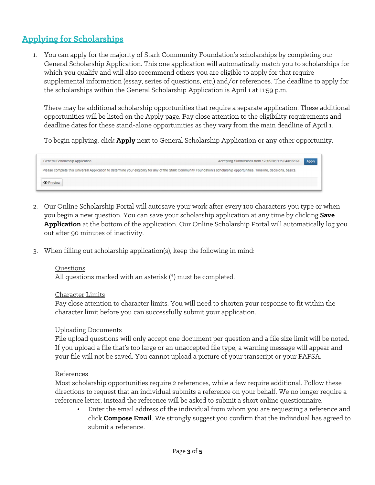## **Applying for Scholarships**

1. You can apply for the majority of Stark Community Foundation's scholarships by completing our General Scholarship Application. This one application will automatically match you to scholarships for which you qualify and will also recommend others you are eligible to apply for that require supplemental information (essay, series of questions, etc.) and/or references. The deadline to apply for the scholarships within the General Scholarship Application is April 1 at 11:59 p.m.

There may be additional scholarship opportunities that require a separate application. These additional opportunities will be listed on the Apply page. Pay close attention to the eligibility requirements and deadline dates for these stand-alone opportunities as they vary from the main deadline of April 1.

To begin applying, click **Apply** next to General Scholarship Application or any other opportunity.



- 2. Our Online Scholarship Portal will autosave your work after every 100 characters you type or when you begin a new question. You can save your scholarship application at any time by clicking **Save Application** at the bottom of the application. Our Online Scholarship Portal will automatically log you out after 90 minutes of inactivity.
- 3. When filling out scholarship application(s), keep the following in mind:

#### Questions

All questions marked with an asterisk (\*) must be completed.

#### Character Limits

Pay close attention to character limits. You will need to shorten your response to fit within the character limit before you can successfully submit your application.

#### Uploading Documents

File upload questions will only accept one document per question and a file size limit will be noted. If you upload a file that's too large or an unaccepted file type, a warning message will appear and your file will not be saved. You cannot upload a picture of your transcript or your FAFSA.

#### References

Most scholarship opportunities require 2 references, while a few require additional. Follow these directions to request that an individual submits a reference on your behalf. We no longer require a reference letter; instead the reference will be asked to submit a short online questionnaire.

• Enter the email address of the individual from whom you are requesting a reference and click **Compose Email**. We strongly suggest you confirm that the individual has agreed to submit a reference.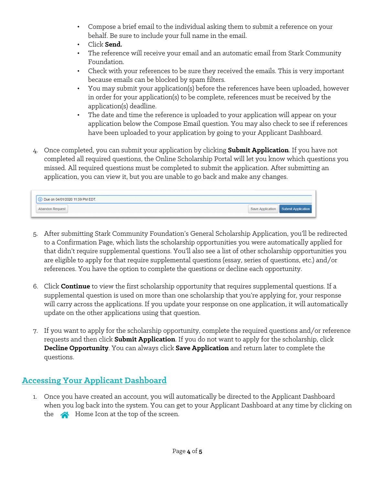- Compose a brief email to the individual asking them to submit a reference on your behalf. Be sure to include your full name in the email.
- Click **Send.**
- The reference will receive your email and an automatic email from Stark Community Foundation.
- Check with your references to be sure they received the emails. This is very important because emails can be blocked by spam filters.
- You may submit your application(s) before the references have been uploaded, however in order for your application(s) to be complete, references must be received by the application(s) deadline.
- The date and time the reference is uploaded to your application will appear on your application below the Compose Email question. You may also check to see if references have been uploaded to your application by going to your Applicant Dashboard.
- 4. Once completed, you can submit your application by clicking **Submit Application**. If you have not completed all required questions, the Online Scholarship Portal will let you know which questions you missed. All required questions must be completed to submit the application. After submitting an application, you can view it, but you are unable to go back and make any changes.

| 1 1:59 PM EDT. |                                     |
|----------------|-------------------------------------|
|                | Save Application Submit Application |

- 5. After submitting Stark Community Foundation's General Scholarship Application, you'll be redirected to a Confirmation Page, which lists the scholarship opportunities you were automatically applied for that didn't require supplemental questions. You'll also see a list of other scholarship opportunities you are eligible to apply for that require supplemental questions (essay, series of questions, etc.) and/or references. You have the option to complete the questions or decline each opportunity.
- 6. Click **Continue** to view the first scholarship opportunity that requires supplemental questions. If a supplemental question is used on more than one scholarship that you're applying for, your response will carry across the applications. If you update your response on one application, it will automatically update on the other applications using that question.
- 7. If you want to apply for the scholarship opportunity, complete the required questions and/or reference requests and then click **Submit Application**. If you do not want to apply for the scholarship, click **Decline Opportunity**. You can always click **Save Application** and return later to complete the questions.

## **Accessing Your Applicant Dashboard**

1. Once you have created an account, you will automatically be directed to the Applicant Dashboard when you log back into the system. You can get to your Applicant Dashboard at any time by clicking on the  $\triangle$  Home Icon at the top of the screen.